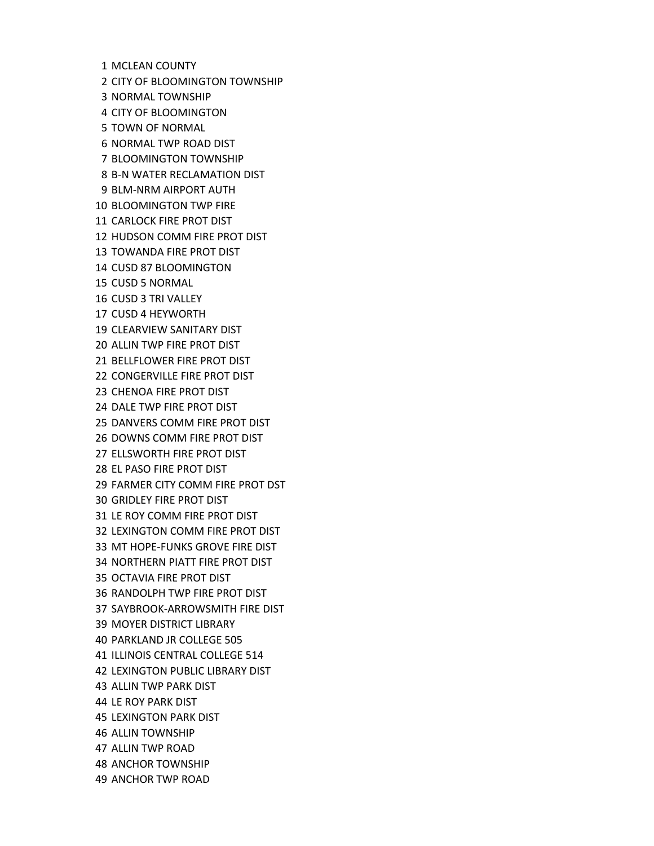1 MCLEAN COUNTY 2 CITY OF BLOOMINGTON TOWNSHIP 3 NORMAL TOWNSHIP 4 CITY OF BLOOMINGTON 5 TOWN OF NORMAL 6 NORMAL TWP ROAD DIST 7 BLOOMINGTON TOWNSHIP 8 B‐N WATER RECLAMATION DIST 9 BLM‐NRM AIRPORT AUTH 10 BLOOMINGTON TWP FIRE 11 CARLOCK FIRE PROT DIST 12 HUDSON COMM FIRE PROT DIST 13 TOWANDA FIRE PROT DIST 14 CUSD 87 BLOOMINGTON 15 CUSD 5 NORMAL 16 CUSD 3 TRI VALLEY 17 CUSD 4 HEYWORTH 19 CLEARVIEW SANITARY DIST 20 ALLIN TWP FIRE PROT DIST 21 BELLFLOWER FIRE PROT DIST 22 CONGERVILLE FIRE PROT DIST 23 CHENOA FIRE PROT DIST 24 DALE TWP FIRE PROT DIST 25 DANVERS COMM FIRE PROT DIST 26 DOWNS COMM FIRE PROT DIST 27 ELLSWORTH FIRE PROT DIST 28 EL PASO FIRE PROT DIST 29 FARMER CITY COMM FIRE PROT DST 30 GRIDLEY FIRE PROT DIST 31 LE ROY COMM FIRE PROT DIST 32 LEXINGTON COMM FIRE PROT DIST 33 MT HOPE‐FUNKS GROVE FIRE DIST 34 NORTHERN PIATT FIRE PROT DIST 35 OCTAVIA FIRE PROT DIST 36 RANDOLPH TWP FIRE PROT DIST 37 SAYBROOK‐ARROWSMITH FIRE DIST 39 MOYER DISTRICT LIBRARY 40 PARKLAND JR COLLEGE 505 41 ILLINOIS CENTRAL COLLEGE 514 42 LEXINGTON PUBLIC LIBRARY DIST 43 ALLIN TWP PARK DIST 44 LE ROY PARK DIST 45 LEXINGTON PARK DIST 46 ALLIN TOWNSHIP 47 ALLIN TWP ROAD 48 ANCHOR TOWNSHIP 49 ANCHOR TWP ROAD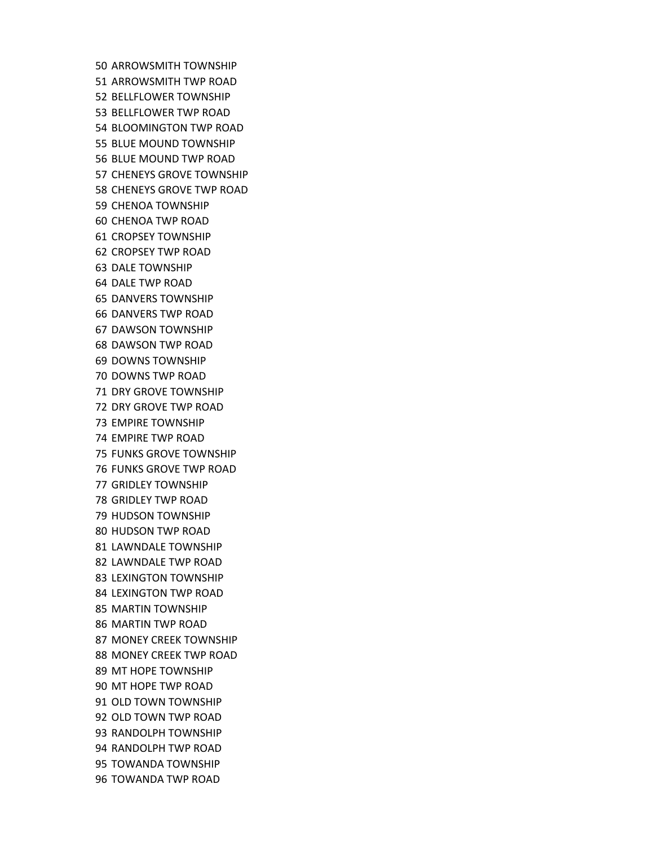50 ARROWSMITH TOWNSHIP 51 ARROWSMITH TWP ROAD 52 BELLFLOWER TOWNSHIP 53 BELLFLOWER TWP ROAD 54 BLOOMINGTON TWP ROAD 55 BLUE MOUND TOWNSHIP 56 BLUE MOUND TWP ROAD 57 CHENEYS GROVE TOWNSHIP 58 CHENEYS GROVE TWP ROAD 59 CHENOA TOWNSHIP 60 CHENOA TWP ROAD 61 CROPSEY TOWNSHIP 62 CROPSEY TWP ROAD 63 DALE TOWNSHIP 64 DALE TWP ROAD 65 DANVERS TOWNSHIP 66 DANVERS TWP ROAD 67 DAWSON TOWNSHIP 68 DAWSON TWP ROAD 69 DOWNS TOWNSHIP 70 DOWNS TWP ROAD 71 DRY GROVE TOWNSHIP 72 DRY GROVE TWP ROAD 73 EMPIRE TOWNSHIP 74 EMPIRE TWP ROAD 75 FUNKS GROVE TOWNSHIP 76 FUNKS GROVE TWP ROAD 77 GRIDLEY TOWNSHIP 78 GRIDLEY TWP ROAD 79 HUDSON TOWNSHIP 80 HUDSON TWP ROAD 81 LAWNDALE TOWNSHIP 82 LAWNDALE TWP ROAD 83 LEXINGTON TOWNSHIP 84 LEXINGTON TWP ROAD 85 MARTIN TOWNSHIP 86 MARTIN TWP ROAD 87 MONEY CREEK TOWNSHIP 88 MONEY CREEK TWP ROAD 89 MT HOPE TOWNSHIP 90 MT HOPE TWP ROAD 91 OLD TOWN TOWNSHIP 92 OLD TOWN TWP ROAD 93 RANDOLPH TOWNSHIP 94 RANDOLPH TWP ROAD 95 TOWANDA TOWNSHIP 96 TOWANDA TWP ROAD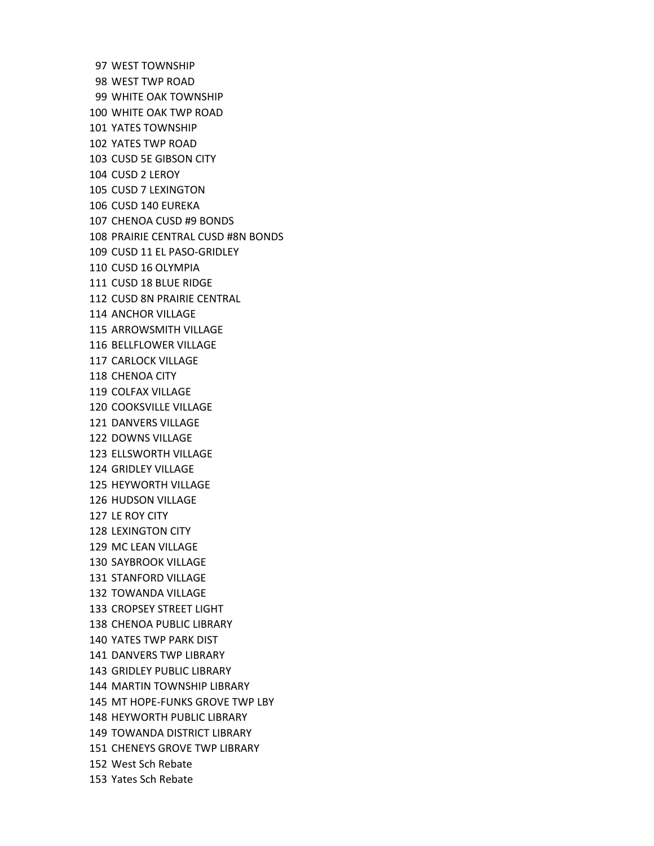97 WEST TOWNSHIP 98 WEST TWP ROAD 99 WHITE OAK TOWNSHIP 100 WHITE OAK TWP ROAD 101 YATES TOWNSHIP 102 YATES TWP ROAD 103 CUSD 5E GIBSON CITY 104 CUSD 2 LEROY 105 CUSD 7 LEXINGTON 106 CUSD 140 EUREKA 107 CHENOA CUSD #9 BONDS 108 PRAIRIE CENTRAL CUSD #8N BONDS 109 CUSD 11 EL PASO‐GRIDLEY 110 CUSD 16 OLYMPIA 111 CUSD 18 BLUE RIDGE 112 CUSD 8N PRAIRIE CENTRAL 114 ANCHOR VILLAGE 115 ARROWSMITH VILLAGE 116 BELLFLOWER VILLAGE 117 CARLOCK VILLAGE 118 CHENOA CITY 119 COLFAX VILLAGE 120 COOKSVILLE VILLAGE 121 DANVERS VILLAGE 122 DOWNS VILLAGE 123 ELLSWORTH VILLAGE 124 GRIDLEY VILLAGE 125 HEYWORTH VILLAGE 126 HUDSON VILLAGE 127 LE ROY CITY 128 LEXINGTON CITY 129 MC LEAN VILLAGE 130 SAYBROOK VILLAGE 131 STANFORD VILLAGE 132 TOWANDA VILLAGE 133 CROPSEY STREET LIGHT 138 CHENOA PUBLIC LIBRARY 140 YATES TWP PARK DIST 141 DANVERS TWP LIBRARY 143 GRIDLEY PUBLIC LIBRARY 144 MARTIN TOWNSHIP LIBRARY 145 MT HOPE‐FUNKS GROVE TWP LBY 148 HEYWORTH PUBLIC LIBRARY 149 TOWANDA DISTRICT LIBRARY 151 CHENEYS GROVE TWP LIBRARY 152 West Sch Rebate 153 Yates Sch Rebate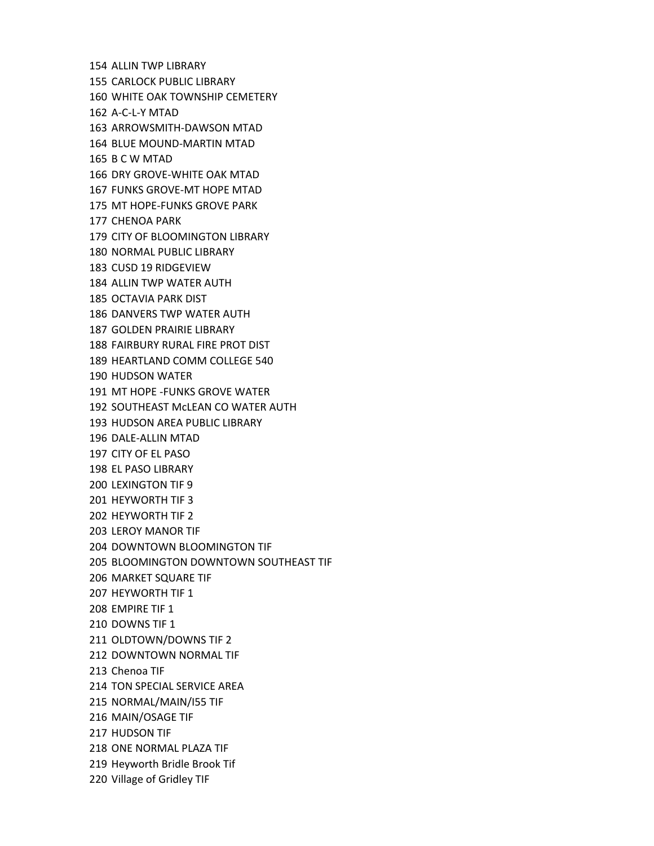154 ALLIN TWP LIBRARY 155 CARLOCK PUBLIC LIBRARY 160 WHITE OAK TOWNSHIP CEMETERY 162 A‐C‐L‐Y MTAD 163 ARROWSMITH‐DAWSON MTAD 164 BLUE MOUND‐MARTIN MTAD 165 B C W MTAD 166 DRY GROVE‐WHITE OAK MTAD 167 FUNKS GROVE‐MT HOPE MTAD 175 MT HOPE‐FUNKS GROVE PARK 177 CHENOA PARK 179 CITY OF BLOOMINGTON LIBRARY 180 NORMAL PUBLIC LIBRARY 183 CUSD 19 RIDGEVIEW 184 ALLIN TWP WATER AUTH 185 OCTAVIA PARK DIST 186 DANVERS TWP WATER AUTH 187 GOLDEN PRAIRIE LIBRARY 188 FAIRBURY RURAL FIRE PROT DIST 189 HEARTLAND COMM COLLEGE 540 190 HUDSON WATER 191 MT HOPE ‐FUNKS GROVE WATER 192 SOUTHEAST McLEAN CO WATER AUTH 193 HUDSON AREA PUBLIC LIBRARY 196 DALE‐ALLIN MTAD 197 CITY OF EL PASO 198 EL PASO LIBRARY 200 LEXINGTON TIF 9 201 HEYWORTH TIF 3 202 HEYWORTH TIF 2 203 LEROY MANOR TIF 204 DOWNTOWN BLOOMINGTON TIF 205 BLOOMINGTON DOWNTOWN SOUTHEAST TIF 206 MARKET SQUARE TIF 207 HEYWORTH TIF 1 208 EMPIRE TIF 1 210 DOWNS TIF 1 211 OLDTOWN/DOWNS TIF 2 212 DOWNTOWN NORMAL TIF 213 Chenoa TIF 214 TON SPECIAL SERVICE AREA 215 NORMAL/MAIN/I55 TIF 216 MAIN/OSAGE TIF 217 HUDSON TIF 218 ONE NORMAL PLAZA TIF 219 Heyworth Bridle Brook Tif 220 Village of Gridley TIF